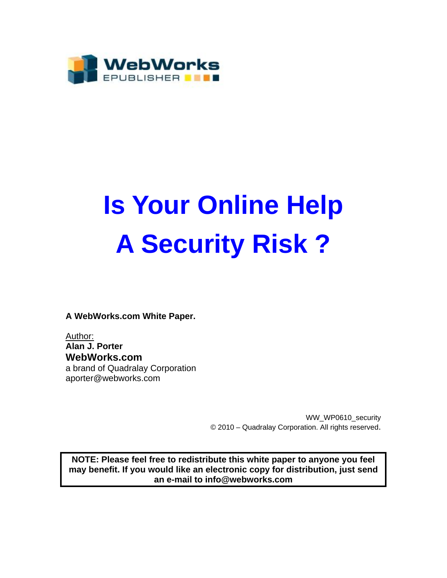

# **Is Your Online Help A Security Risk ?**

**A WebWorks.com White Paper.** 

Author: **Alan J. Porter WebWorks.com**  a brand of Quadralay Corporation aporter@webworks.com

> WW\_WP0610\_security © 2010 – Quadralay Corporation. All rights reserved.

**NOTE: Please feel free to redistribute this white paper to anyone you feel may benefit. If you would like an electronic copy for distribution, just send an e-mail to info@webworks.com**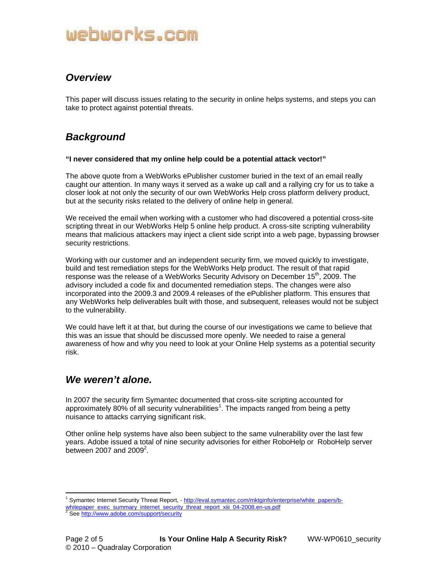# *Overview*

This paper will discuss issues relating to the security in online helps systems, and steps you can take to protect against potential threats.

# *Background*

#### **"I never considered that my online help could be a potential attack vector!"**

The above quote from a WebWorks ePublisher customer buried in the text of an email really caught our attention. In many ways it served as a wake up call and a rallying cry for us to take a closer look at not only the security of our own WebWorks Help cross platform delivery product, but at the security risks related to the delivery of online help in general.

We received the email when working with a customer who had discovered a potential cross-site scripting threat in our WebWorks Help 5 online help product. A cross-site scripting vulnerability means that malicious attackers may inject a client side script into a web page, bypassing browser security restrictions.

Working with our customer and an independent security firm, we moved quickly to investigate, build and test remediation steps for the WebWorks Help product. The result of that rapid response was the release of a WebWorks Security Advisory on December 15<sup>th</sup>, 2009. The advisory included a code fix and documented remediation steps. The changes were also incorporated into the 2009.3 and 2009.4 releases of the ePublisher platform. This ensures that any WebWorks help deliverables built with those, and subsequent, releases would not be subject to the vulnerability.

We could have left it at that, but during the course of our investigations we came to believe that this was an issue that should be discussed more openly. We needed to raise a general awareness of how and why you need to look at your Online Help systems as a potential security risk.

### *We weren't alone.*

In 2007 the security firm Symantec documented that cross-site scripting accounted for approximately 80% of all security vulnerabilities<sup>1</sup>. The impacts ranged from being a petty nuisance to attacks carrying significant risk.

Other online help systems have also been subject to the same vulnerability over the last few years. Adobe issued a total of nine security advisories for either RoboHelp or RoboHelp server between 2007 and 2009 $^2$ .

 $\overline{a}$ <sup>1</sup> Symantec Internet Security Threat Report, - http://eval.symantec.com/mktginfo/enterprise/white\_papers/bwhitepaper\_exec\_summary\_internet\_security\_threat\_report\_xiii\_04-2008.en-us.pdf<br><sup>2</sup> See http://www.adobe.com/support/security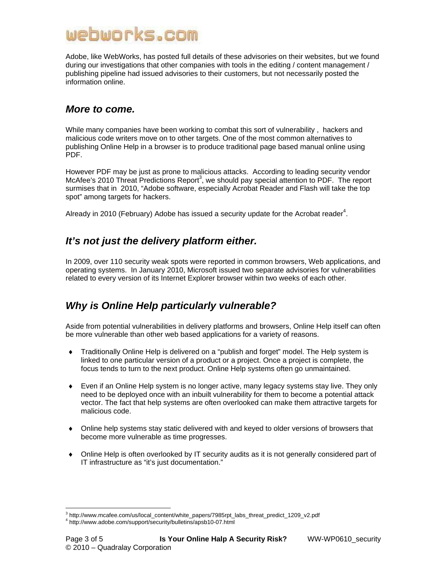Adobe, like WebWorks, has posted full details of these advisories on their websites, but we found during our investigations that other companies with tools in the editing / content management / publishing pipeline had issued advisories to their customers, but not necessarily posted the information online.

#### *More to come.*

While many companies have been working to combat this sort of vulnerability , hackers and malicious code writers move on to other targets. One of the most common alternatives to publishing Online Help in a browser is to produce traditional page based manual online using PDF.

However PDF may be just as prone to malicious attacks. According to leading security vendor McAfee's 2010 Threat Predictions Report<sup>3</sup>, we should pay special attention to PDF. The report surmises that in 2010, "Adobe software, especially Acrobat Reader and Flash will take the top spot" among targets for hackers.

Already in 2010 (February) Adobe has issued a security update for the Acrobat reader<sup>4</sup>.

# *It's not just the delivery platform either.*

In 2009, over 110 security weak spots were reported in common browsers, Web applications, and operating systems. In January 2010, Microsoft issued two separate advisories for vulnerabilities related to every version of its Internet Explorer browser within two weeks of each other.

# *Why is Online Help particularly vulnerable?*

Aside from potential vulnerabilities in delivery platforms and browsers, Online Help itself can often be more vulnerable than other web based applications for a variety of reasons.

- ♦ Traditionally Online Help is delivered on a "publish and forget" model. The Help system is linked to one particular version of a product or a project. Once a project is complete, the focus tends to turn to the next product. Online Help systems often go unmaintained.
- ♦ Even if an Online Help system is no longer active, many legacy systems stay live. They only need to be deployed once with an inbuilt vulnerability for them to become a potential attack vector. The fact that help systems are often overlooked can make them attractive targets for malicious code.
- ♦ Online help systems stay static delivered with and keyed to older versions of browsers that become more vulnerable as time progresses.
- ♦ Online Help is often overlooked by IT security audits as it is not generally considered part of IT infrastructure as "it's just documentation."

 $\overline{a}$  $^3$  http://www.mcafee.com/us/local\_content/white\_papers/7985rpt\_labs\_threat\_predict\_1209\_v2.pdf<br> $^4$  http://www.radaba.com/support/sequity/bullating/apab10.07 html http://www.adobe.com/support/security/bulletins/apsb10-07.html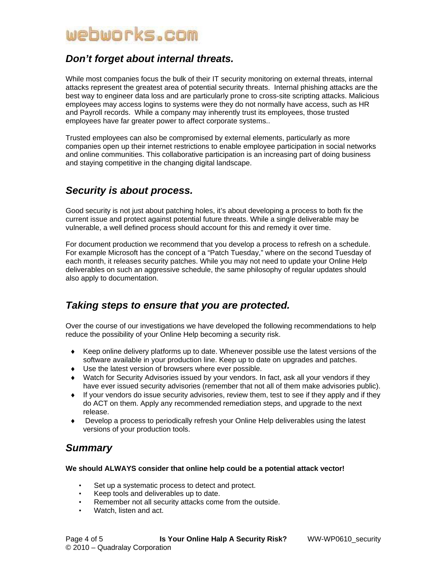### *Don't forget about internal threats.*

While most companies focus the bulk of their IT security monitoring on external threats, internal attacks represent the greatest area of potential security threats. Internal phishing attacks are the best way to engineer data loss and are particularly prone to cross-site scripting attacks. Malicious employees may access logins to systems were they do not normally have access, such as HR and Payroll records. While a company may inherently trust its employees, those trusted employees have far greater power to affect corporate systems..

Trusted employees can also be compromised by external elements, particularly as more companies open up their internet restrictions to enable employee participation in social networks and online communities. This collaborative participation is an increasing part of doing business and staying competitive in the changing digital landscape.

# *Security is about process.*

Good security is not just about patching holes, it's about developing a process to both fix the current issue and protect against potential future threats. While a single deliverable may be vulnerable, a well defined process should account for this and remedy it over time.

For document production we recommend that you develop a process to refresh on a schedule. For example Microsoft has the concept of a "Patch Tuesday," where on the second Tuesday of each month, it releases security patches. While you may not need to update your Online Help deliverables on such an aggressive schedule, the same philosophy of regular updates should also apply to documentation.

### *Taking steps to ensure that you are protected.*

Over the course of our investigations we have developed the following recommendations to help reduce the possibility of your Online Help becoming a security risk.

- ♦ Keep online delivery platforms up to date. Whenever possible use the latest versions of the software available in your production line. Keep up to date on upgrades and patches.
- ♦ Use the latest version of browsers where ever possible.
- ♦ Watch for Security Advisories issued by your vendors. In fact, ask all your vendors if they have ever issued security advisories (remember that not all of them make advisories public).
- ♦ If your vendors do issue security advisories, review them, test to see if they apply and if they do ACT on them. Apply any recommended remediation steps, and upgrade to the next release.
- ♦ Develop a process to periodically refresh your Online Help deliverables using the latest versions of your production tools.

# *Summary*

#### **We should ALWAYS consider that online help could be a potential attack vector!**

- Set up a systematic process to detect and protect.
- Keep tools and deliverables up to date.
- Remember not all security attacks come from the outside.
- Watch, listen and act.